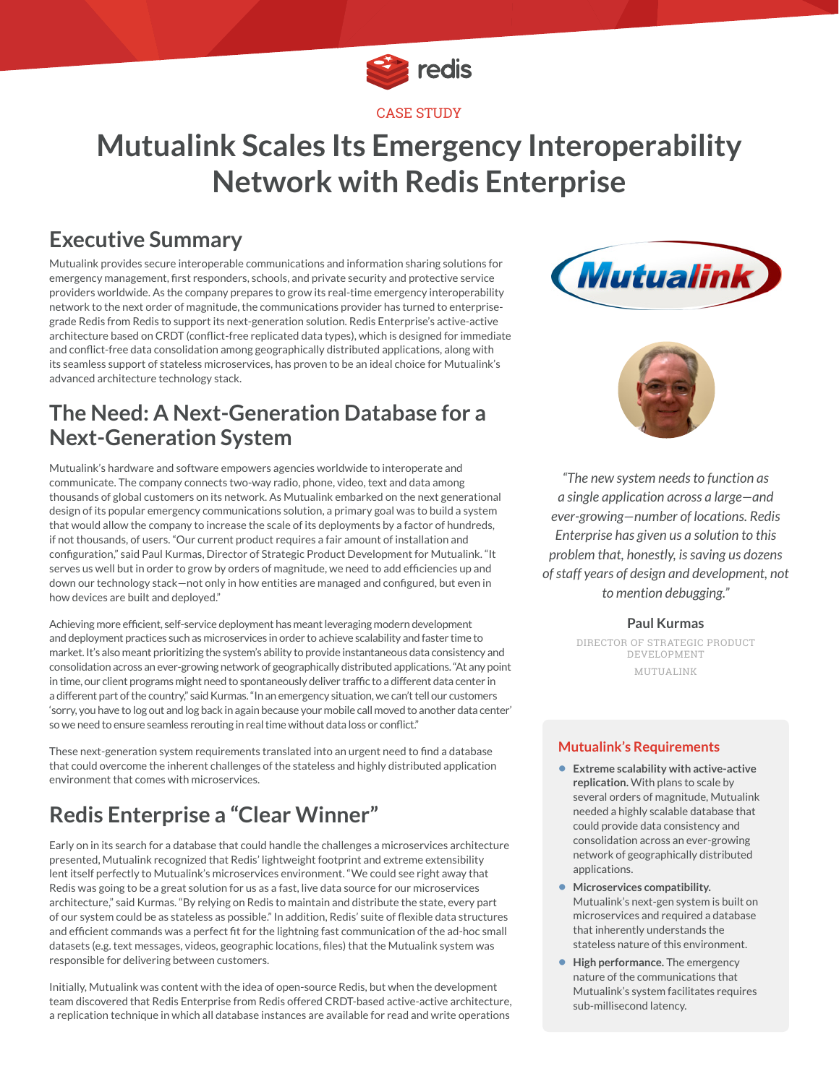

# **Mutualink Scales Its Emergency Interoperability Network with Redis Enterprise**

## **Executive Summary**

Mutualink provides secure interoperable communications and information sharing solutions for emergency management, first responders, schools, and private security and protective service providers worldwide. As the company prepares to grow its real-time emergency interoperability network to the next order of magnitude, the communications provider has turned to enterprisegrade Redis from Redis to support its next-generation solution. Redis Enterprise's active-active architecture based on CRDT (conflict-free replicated data types), which is designed for immediate and conflict-free data consolidation among geographically distributed applications, along with its seamless support of stateless microservices, has proven to be an ideal choice for Mutualink's advanced architecture technology stack.

## **The Need: A Next-Generation Database for a Next-Generation System**

Mutualink's hardware and software empowers agencies worldwide to interoperate and communicate. The company connects two-way radio, phone, video, text and data among thousands of global customers on its network. As Mutualink embarked on the next generational design of its popular emergency communications solution, a primary goal was to build a system that would allow the company to increase the scale of its deployments by a factor of hundreds, if not thousands, of users. "Our current product requires a fair amount of installation and configuration," said Paul Kurmas, Director of Strategic Product Development for Mutualink. "It serves us well but in order to grow by orders of magnitude, we need to add efficiencies up and down our technology stack—not only in how entities are managed and configured, but even in how devices are built and deployed."

Achieving more efficient, self-service deployment has meant leveraging modern development and deployment practices such as microservices in order to achieve scalability and faster time to market. It's also meant prioritizing the system's ability to provide instantaneous data consistency and consolidation across an ever-growing network of geographically distributed applications. "At any point in time, our client programs might need to spontaneously deliver traffic to a different data center in a different part of the country," said Kurmas. "In an emergency situation, we can't tell our customers 'sorry, you have to log out and log back in again because your mobile call moved to another data center' so we need to ensure seamless rerouting in real time without data loss or conflict."

These next-generation system requirements translated into an urgent need to find a database that could overcome the inherent challenges of the stateless and highly distributed application environment that comes with microservices.

## **Redis Enterprise a "Clear Winner"**

Early on in its search for a database that could handle the challenges a microservices architecture presented, Mutualink recognized that Redis' lightweight footprint and extreme extensibility lent itself perfectly to Mutualink's microservices environment. "We could see right away that Redis was going to be a great solution for us as a fast, live data source for our microservices architecture," said Kurmas. "By relying on Redis to maintain and distribute the state, every part of our system could be as stateless as possible." In addition, Redis' suite of flexible data structures and efficient commands was a perfect fit for the lightning fast communication of the ad-hoc small datasets (e.g. text messages, videos, geographic locations, files) that the Mutualink system was responsible for delivering between customers.

Initially, Mutualink was content with the idea of open-source Redis, but when the development team discovered that Redis Enterprise from Redis offered CRDT-based active-active architecture, a replication technique in which all database instances are available for read and write operations





*"The new system needs to function as a single application across a large—and ever-growing—number of locations. Redis Enterprise has given us a solution to this problem that, honestly, is saving us dozens of staff years of design and development, not to mention debugging."*

#### **Paul Kurmas**

DIRECTOR OF STRATEGIC PRODUCT DEVELOPMENT MUTUALINK

#### **Mutualink's Requirements**

- **• Extreme scalability with active-active replication.** With plans to scale by several orders of magnitude, Mutualink needed a highly scalable database that could provide data consistency and consolidation across an ever-growing network of geographically distributed applications.
- **• Microservices compatibility.**  Mutualink's next-gen system is built on microservices and required a database that inherently understands the stateless nature of this environment.
- **• High performance.** The emergency nature of the communications that Mutualink's system facilitates requires sub-millisecond latency.